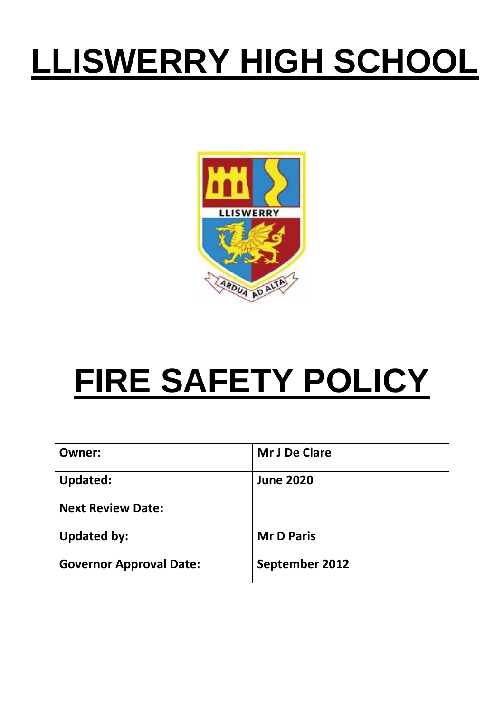# **LLISWERRY HIGH SCHOOL**



# **FIRE SAFETY POLICY**

| Owner:                         | Mr J De Clare     |
|--------------------------------|-------------------|
| <b>Updated:</b>                | <b>June 2020</b>  |
| <b>Next Review Date:</b>       |                   |
| <b>Updated by:</b>             | <b>Mr D Paris</b> |
| <b>Governor Approval Date:</b> | September 2012    |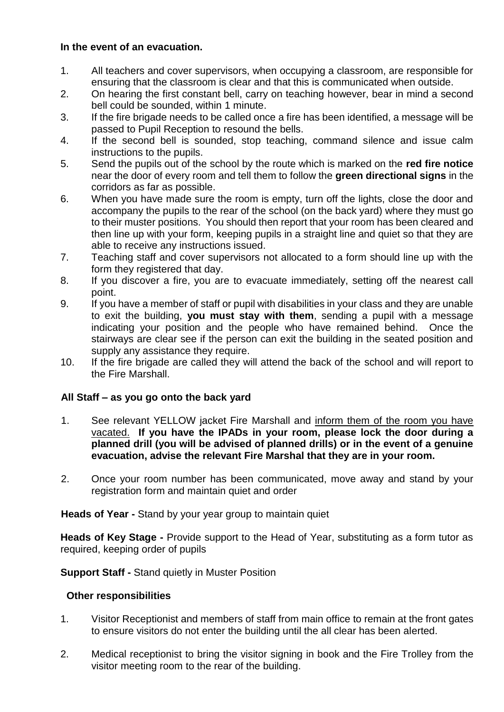### **In the event of an evacuation.**

- 1. All teachers and cover supervisors, when occupying a classroom, are responsible for ensuring that the classroom is clear and that this is communicated when outside.
- 2. On hearing the first constant bell, carry on teaching however, bear in mind a second bell could be sounded, within 1 minute.
- 3. If the fire brigade needs to be called once a fire has been identified, a message will be passed to Pupil Reception to resound the bells.
- 4. If the second bell is sounded, stop teaching, command silence and issue calm instructions to the pupils.
- 5. Send the pupils out of the school by the route which is marked on the **red fire notice** near the door of every room and tell them to follow the **green directional signs** in the corridors as far as possible.
- 6. When you have made sure the room is empty, turn off the lights, close the door and accompany the pupils to the rear of the school (on the back yard) where they must go to their muster positions. You should then report that your room has been cleared and then line up with your form, keeping pupils in a straight line and quiet so that they are able to receive any instructions issued.
- 7. Teaching staff and cover supervisors not allocated to a form should line up with the form they registered that day.
- 8. If you discover a fire, you are to evacuate immediately, setting off the nearest call point.
- 9. If you have a member of staff or pupil with disabilities in your class and they are unable to exit the building, **you must stay with them**, sending a pupil with a message indicating your position and the people who have remained behind. Once the stairways are clear see if the person can exit the building in the seated position and supply any assistance they require.
- 10. If the fire brigade are called they will attend the back of the school and will report to the Fire Marshall.

# **All Staff – as you go onto the back yard**

- 1. See relevant YELLOW jacket Fire Marshall and inform them of the room you have vacated. **If you have the IPADs in your room, please lock the door during a planned drill (you will be advised of planned drills) or in the event of a genuine evacuation, advise the relevant Fire Marshal that they are in your room.**
- 2. Once your room number has been communicated, move away and stand by your registration form and maintain quiet and order

**Heads of Year -** Stand by your year group to maintain quiet

**Heads of Key Stage -** Provide support to the Head of Year, substituting as a form tutor as required, keeping order of pupils

# **Support Staff -** Stand quietly in Muster Position

# **Other responsibilities**

- 1. Visitor Receptionist and members of staff from main office to remain at the front gates to ensure visitors do not enter the building until the all clear has been alerted.
- 2. Medical receptionist to bring the visitor signing in book and the Fire Trolley from the visitor meeting room to the rear of the building.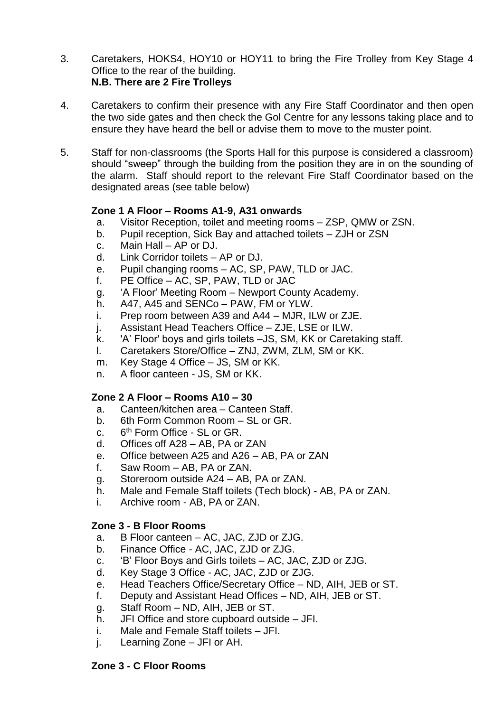- 3. Caretakers, HOKS4, HOY10 or HOY11 to bring the Fire Trolley from Key Stage 4 Office to the rear of the building. **N.B. There are 2 Fire Trolleys**
- 4. Caretakers to confirm their presence with any Fire Staff Coordinator and then open the two side gates and then check the Gol Centre for any lessons taking place and to ensure they have heard the bell or advise them to move to the muster point.
- 5. Staff for non-classrooms (the Sports Hall for this purpose is considered a classroom) should "sweep" through the building from the position they are in on the sounding of the alarm. Staff should report to the relevant Fire Staff Coordinator based on the designated areas (see table below)

### **Zone 1 A Floor – Rooms A1-9, A31 onwards**

- a. Visitor Reception, toilet and meeting rooms ZSP, QMW or ZSN.
- b. Pupil reception, Sick Bay and attached toilets ZJH or ZSN
- c. Main Hall AP or DJ.
- d. Link Corridor toilets AP or DJ.
- e. Pupil changing rooms AC, SP, PAW, TLD or JAC.
- f. PE Office AC, SP, PAW, TLD or JAC
- g. 'A Floor' Meeting Room Newport County Academy.
- h. A47, A45 and SENCo PAW, FM or YLW.
- i. Prep room between A39 and A44 MJR, ILW or ZJE.
- j. Assistant Head Teachers Office ZJE, LSE or ILW.
- k. 'A' Floor' boys and girls toilets –JS, SM, KK or Caretaking staff.
- l. Caretakers Store/Office ZNJ, ZWM, ZLM, SM or KK.
- m. Key Stage 4 Office JS, SM or KK.
- n. A floor canteen JS, SM or KK.

#### **Zone 2 A Floor – Rooms A10 – 30**

- a. Canteen/kitchen area Canteen Staff.
- b. 6th Form Common Room SL or GR.
- $C<sub>6</sub>$ 6<sup>th</sup> Form Office - SL or GR.
- d. Offices off A28 AB, PA or ZAN
- e. Office between A25 and A26 AB, PA or ZAN
- f. Saw Room AB, PA or ZAN.
- g. Storeroom outside A24 AB, PA or ZAN.
- h. Male and Female Staff toilets (Tech block) AB, PA or ZAN.
- i. Archive room AB, PA or ZAN.

#### **Zone 3 - B Floor Rooms**

- a. B Floor canteen AC, JAC, ZJD or ZJG.
- b. Finance Office AC, JAC, ZJD or ZJG.
- c. 'B' Floor Boys and Girls toilets AC, JAC, ZJD or ZJG.
- d. Key Stage 3 Office AC, JAC, ZJD or ZJG.
- e. Head Teachers Office/Secretary Office ND, AIH, JEB or ST.
- f. Deputy and Assistant Head Offices ND, AIH, JEB or ST.
- g. Staff Room ND, AIH, JEB or ST.
- h. JFI Office and store cupboard outside JFI.
- i. Male and Female Staff toilets JFI.
- j. Learning Zone JFI or AH.

# **Zone 3 - C Floor Rooms**